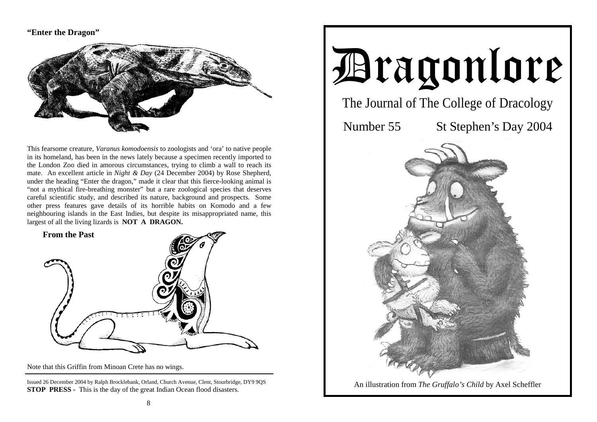### **"Enter the Dragon"**



This fearsome creature, *Varanus komodoensis* to zoologists and 'ora' to native people in its homeland, has been in the news lately because a specimen recently imported to the London Zoo died in amorous circumstances, trying to climb a wall to reach its mate. An excellent article in *Night & Day* (24 December 2004) by Rose Shepherd, under the heading "Enter the dragon," made it clear that this fierce-looking animal is "not a mythical fire-breathing monster" but a rare zoological species that deserves careful scientific study, and described its nature, background and prospects. Some other press features gave details of its horrible habits on Komodo and a few neighbouring islands in the East Indies, but despite its misappropriated name, this largest of all the living lizards is **NOT A DRAGON.** 



Note that this Griffin from Minoan Crete has no wings.

Issued 26 December 2004 by Ralph Brocklebank, Orland, Church Avenue, Clent, Stourbridge, DY9 9QS **STOP PRESS -** This is the day of the great Indian Ocean flood disasters.

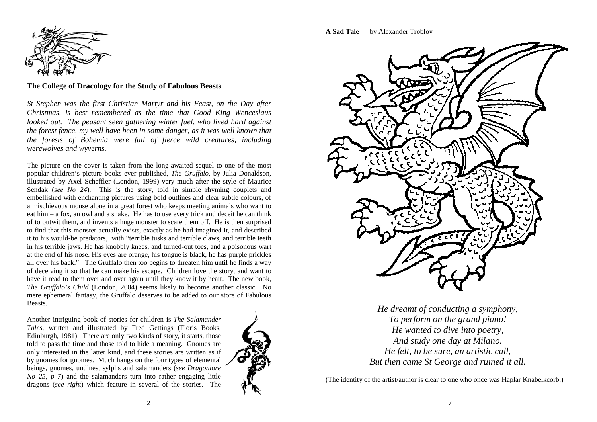

**The College of Dracology for the Study of Fabulous Beasts** 

*St Stephen was the first Christian Martyr and his Feast, on the Day after Christmas, is best remembered as the time that Good King Wenceslaus looked out. The peasant seen gathering winter fuel, who lived hard against the forest fence, my well have been in some danger, as it was well known that the forests of Bohemia were full of fierce wild creatures, including werewolves and wyverns.* 

The picture on the cover is taken from the long-awaited sequel to one of the most popular children's picture books ever published, *The Gruffalo,* by Julia Donaldson, illustrated by Axel Scheffler (London, 1999) very much after the style of Maurice Sendak (*see No 24*). This is the story, told in simple rhyming couplets and embellished with enchanting pictures using bold outlines and clear subtle colours, of a mischievous mouse alone in a great forest who keeps meeting animals who want to eat him – a fox, an owl and a snake. He has to use every trick and deceit he can think of to outwit them, and invents a huge monster to scare them off. He is then surprised to find that this monster actually exists, exactly as he had imagined it, and described it to his would-be predators, with "terrible tusks and terrible claws, and terrible teeth in his terrible jaws. He has knobbly knees, and turned-out toes, and a poisonous wart at the end of his nose. His eyes are orange, his tongue is black, he has purple prickles all over his back." The Gruffalo then too begins to threaten him until he finds a way of deceiving it so that he can make his escape. Children love the story, and want to have it read to them over and over again until they know it by heart. The new book, *The Gruffalo's Child* (London, 2004) seems likely to become another classic. No mere ephemeral fantasy, the Gruffalo deserves to be added to our store of Fabulous Beasts.

Another intriguing book of stories for children is *The Salamander Tales,* written and illustrated by Fred Gettings (Floris Books, Edinburgh, 1981). There are only two kinds of story, it starts, those told to pass the time and those told to hide a meaning. Gnomes are only interested in the latter kind, and these stories are written as if by gnomes for gnomes. Much hangs on the four types of elemental beings, gnomes, undines, sylphs and salamanders (*see Dragonlore No 25, p 7*) and the salamanders turn into rather engaging little dragons (*see right*) which feature in several of the stories. The



**A Sad Tale** by Alexander Troblov



*He dreamt of conducting a symphony, To perform on the grand piano! He wanted to dive into poetry, And study one day at Milano. He felt, to be sure, an artistic call, But then came St George and ruined it all.* 

(The identity of the artist/author is clear to one who once was Haplar Knabelkcorb.)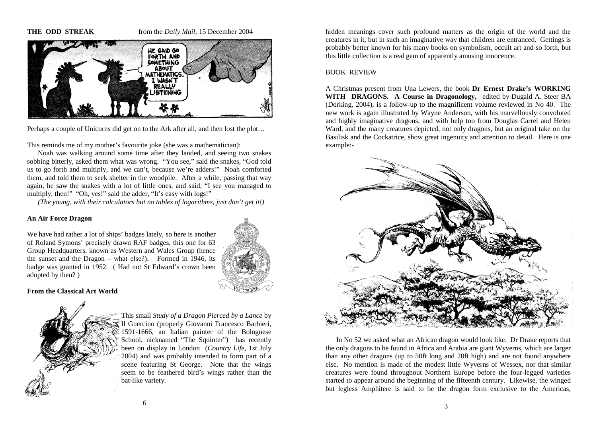**THE ODD STREAK** from the *Daily Mail*, 15 December 2004



Perhaps a couple of Unicorns did get on to the Ark after all, and then lost the plot…

This reminds me of my mother's favourite joke (she was a mathematician):

 Noah was walking around some time after they landed, and seeing two snakes sobbing bitterly, asked them what was wrong. "You see," said the snakes, "God told us to go forth and multiply, and we can't, because we're adders!" Noah comforted them, and told them to seek shelter in the woodpile. After a while, passing that way again, he saw the snakes with a lot of little ones, and said, "I see you managed to multiply, then!" "Oh, yes!" said the adder, "It's easy with logs!"

*(The young, with their calculators but no tables of logarithms, just don't get it!)* 

#### **An Air Force Dragon**

We have had rather a lot of ships' badges lately, so here is another of Roland Symons' precisely drawn RAF badges, this one for 63 Group Headquarters, known as Western and Wales Group (hence the sunset and the Dragon – what else?). Formed in 1946, its badge was granted in 1952. ( Had not St Edward's crown been adopted by then? )



**From the Classical Art World** 



This small *Study of a Dragon Pierced by a Lance* by Il Guercino (properly Giovanni Francesco Barbieri, 1591-1666, an Italian painter of the Bolognese School, nicknamed "The Squinter") has recently been on display in London (*Country Life*, 1st July 2004) and was probably intended to form part of a scene featuring St George. Note that the wings seem to be feathered bird's wings rather than the bat-like variety.

hidden meanings cover such profound matters as the origin of the world and the creatures in it, but in such an imaginative way that children are entranced. Gettings is probably better known for his many books on symbolism, occult art and so forth, but this little collection is a real gem of apparently amusing innocence.

#### BOOK REVIEW

A Christmas present from Una Lewers, the book **Dr Ernest Drake's WORKING WITH DRAGONS. A Course in Dragonology,** edited by Dugald A. Steer BA (Dorking, 2004), is a follow-up to the magnificent volume reviewed in No 40. The new work is again illustrated by Wayne Anderson, with his marvellously convoluted and highly imaginative dragons, and with help too from Douglas Carrel and Helen Ward, and the many creatures depicted, not only dragons, but an original take on the Basilisk and the Cockatrice, show great ingenuity and attention to detail. Here is one example:-



 In No 52 we asked what an African dragon would look like. Dr Drake reports that the only dragons to be found in Africa and Arabia are giant Wyverns, which are larger than any other dragons (up to 50ft long and 20ft high) and are not found anywhere else. No mention is made of the modest little Wyverns of Wessex, nor that similar creatures were found throughout Northern Europe before the four-legged varieties started to appear around the beginning of the fifteenth century. Likewise, the winged but legless Amphitere is said to be the dragon form exclusive to the Americas,